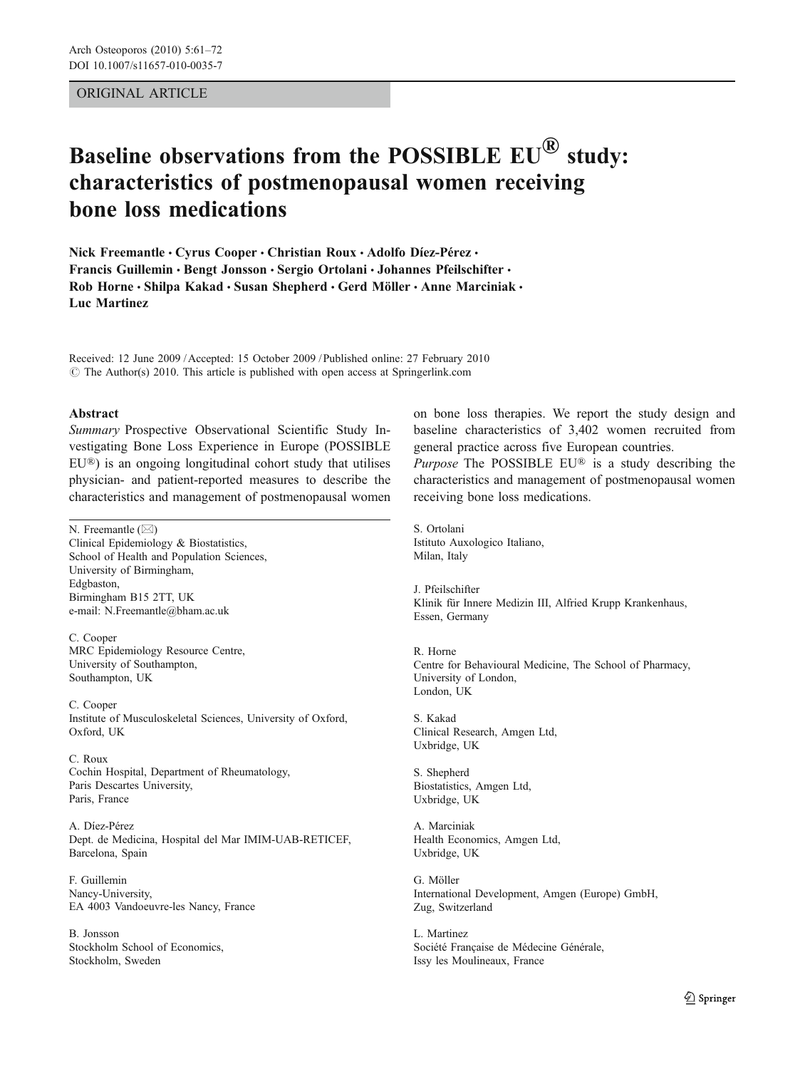## ORIGINAL ARTICLE

# Baseline observations from the POSSIBLE  $EU^{(k)}$  study: characteristics of postmenopausal women receiving bone loss medications

Nick Freemantle • Cyrus Cooper • Christian Roux • Adolfo Díez-Pérez • Francis Guillemin · Bengt Jonsson · Sergio Ortolani · Johannes Pfeilschifter · Rob Horne · Shilpa Kakad · Susan Shepherd · Gerd Möller · Anne Marciniak · Luc Martinez

Received: 12 June 2009 /Accepted: 15 October 2009 / Published online: 27 February 2010  $\odot$  The Author(s) 2010. This article is published with open access at Springerlink.com

#### Abstract

Summary Prospective Observational Scientific Study Investigating Bone Loss Experience in Europe (POSSIBLE EU®) is an ongoing longitudinal cohort study that utilises physician- and patient-reported measures to describe the characteristics and management of postmenopausal women

N. Freemantle  $(\boxtimes)$ Clinical Epidemiology & Biostatistics, School of Health and Population Sciences, University of Birmingham, Edgbaston, Birmingham B15 2TT, UK e-mail: N.Freemantle@bham.ac.uk

C. Cooper MRC Epidemiology Resource Centre, University of Southampton, Southampton, UK

C. Cooper Institute of Musculoskeletal Sciences, University of Oxford, Oxford, UK

C. Roux Cochin Hospital, Department of Rheumatology, Paris Descartes University, Paris, France

A. Díez-Pérez Dept. de Medicina, Hospital del Mar IMIM-UAB-RETICEF, Barcelona, Spain

F. Guillemin Nancy-University, EA 4003 Vandoeuvre-les Nancy, France

B. Jonsson Stockholm School of Economics, Stockholm, Sweden

on bone loss therapies. We report the study design and baseline characteristics of 3,402 women recruited from general practice across five European countries.

Purpose The POSSIBLE EU® is a study describing the characteristics and management of postmenopausal women receiving bone loss medications.

S. Ortolani Istituto Auxologico Italiano, Milan, Italy

J. Pfeilschifter Klinik für Innere Medizin III, Alfried Krupp Krankenhaus, Essen, Germany

R. Horne Centre for Behavioural Medicine, The School of Pharmacy, University of London, London, UK

S. Kakad Clinical Research, Amgen Ltd, Uxbridge, UK

S. Shepherd Biostatistics, Amgen Ltd, Uxbridge, UK

A. Marciniak Health Economics, Amgen Ltd, Uxbridge, UK

G. Möller International Development, Amgen (Europe) GmbH, Zug, Switzerland

L. Martinez Société Française de Médecine Générale, Issy les Moulineaux, France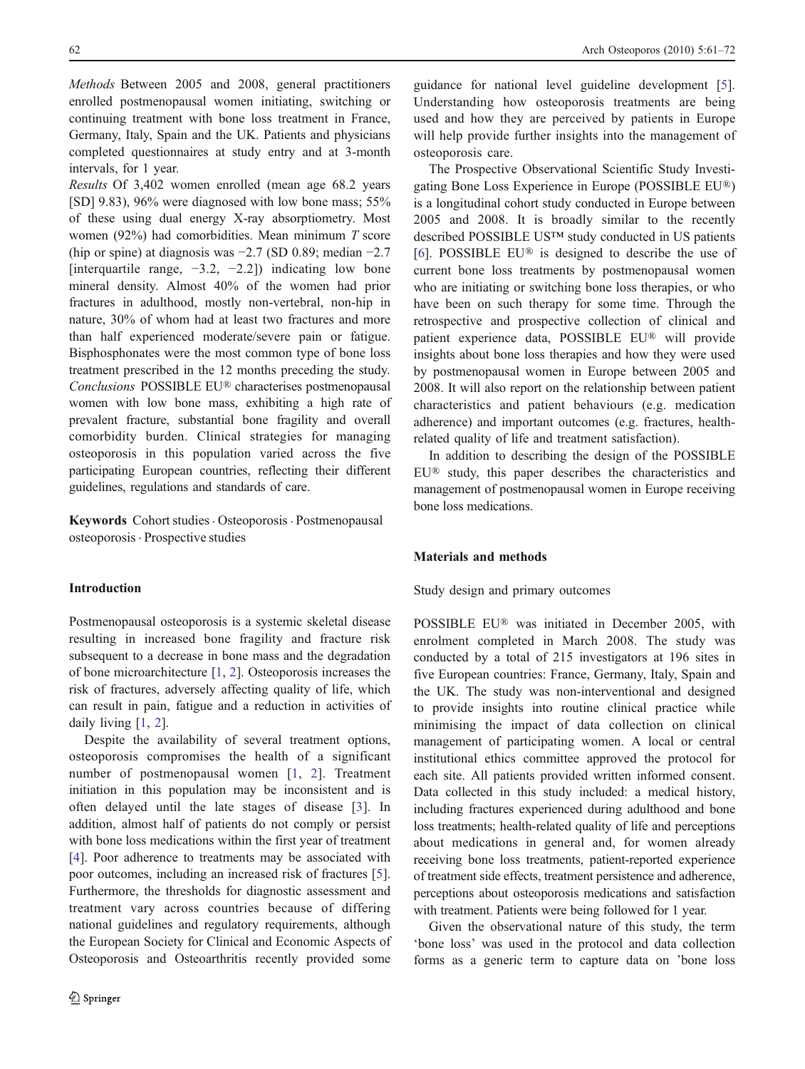Methods Between 2005 and 2008, general practitioners enrolled postmenopausal women initiating, switching or continuing treatment with bone loss treatment in France, Germany, Italy, Spain and the UK. Patients and physicians completed questionnaires at study entry and at 3-month intervals, for 1 year.

Results Of 3,402 women enrolled (mean age 68.2 years [SD] 9.83), 96% were diagnosed with low bone mass; 55% of these using dual energy X-ray absorptiometry. Most women (92%) had comorbidities. Mean minimum  $T$  score (hip or spine) at diagnosis was −2.7 (SD 0.89; median −2.7 [interquartile range,  $-3.2$ ,  $-2.2$ ]) indicating low bone mineral density. Almost 40% of the women had prior fractures in adulthood, mostly non-vertebral, non-hip in nature, 30% of whom had at least two fractures and more than half experienced moderate/severe pain or fatigue. Bisphosphonates were the most common type of bone loss treatment prescribed in the 12 months preceding the study. Conclusions POSSIBLE EU® characterises postmenopausal women with low bone mass, exhibiting a high rate of prevalent fracture, substantial bone fragility and overall comorbidity burden. Clinical strategies for managing osteoporosis in this population varied across the five participating European countries, reflecting their different guidelines, regulations and standards of care.

Keywords Cohort studies. Osteoporosis. Postmenopausal osteoporosis . Prospective studies

# Introduction

Postmenopausal osteoporosis is a systemic skeletal disease resulting in increased bone fragility and fracture risk subsequent to a decrease in bone mass and the degradation of bone microarchitecture [[1,](#page-10-0) [2](#page-10-0)]. Osteoporosis increases the risk of fractures, adversely affecting quality of life, which can result in pain, fatigue and a reduction in activities of daily living [[1,](#page-10-0) [2](#page-10-0)].

Despite the availability of several treatment options, osteoporosis compromises the health of a significant number of postmenopausal women [[1](#page-10-0), [2](#page-10-0)]. Treatment initiation in this population may be inconsistent and is often delayed until the late stages of disease [[3\]](#page-10-0). In addition, almost half of patients do not comply or persist with bone loss medications within the first year of treatment [\[4](#page-10-0)]. Poor adherence to treatments may be associated with poor outcomes, including an increased risk of fractures [\[5](#page-10-0)]. Furthermore, the thresholds for diagnostic assessment and treatment vary across countries because of differing national guidelines and regulatory requirements, although the European Society for Clinical and Economic Aspects of Osteoporosis and Osteoarthritis recently provided some

guidance for national level guideline development [[5\]](#page-10-0). Understanding how osteoporosis treatments are being used and how they are perceived by patients in Europe will help provide further insights into the management of osteoporosis care.

The Prospective Observational Scientific Study Investigating Bone Loss Experience in Europe (POSSIBLE EU®) is a longitudinal cohort study conducted in Europe between 2005 and 2008. It is broadly similar to the recently described POSSIBLE US™ study conducted in US patients [\[6](#page-11-0)]. POSSIBLE EU® is designed to describe the use of current bone loss treatments by postmenopausal women who are initiating or switching bone loss therapies, or who have been on such therapy for some time. Through the retrospective and prospective collection of clinical and patient experience data, POSSIBLE EU® will provide insights about bone loss therapies and how they were used by postmenopausal women in Europe between 2005 and 2008. It will also report on the relationship between patient characteristics and patient behaviours (e.g. medication adherence) and important outcomes (e.g. fractures, healthrelated quality of life and treatment satisfaction).

In addition to describing the design of the POSSIBLE EU® study, this paper describes the characteristics and management of postmenopausal women in Europe receiving bone loss medications.

#### Materials and methods

#### Study design and primary outcomes

POSSIBLE EU® was initiated in December 2005, with enrolment completed in March 2008. The study was conducted by a total of 215 investigators at 196 sites in five European countries: France, Germany, Italy, Spain and the UK. The study was non-interventional and designed to provide insights into routine clinical practice while minimising the impact of data collection on clinical management of participating women. A local or central institutional ethics committee approved the protocol for each site. All patients provided written informed consent. Data collected in this study included: a medical history, including fractures experienced during adulthood and bone loss treatments; health-related quality of life and perceptions about medications in general and, for women already receiving bone loss treatments, patient-reported experience of treatment side effects, treatment persistence and adherence, perceptions about osteoporosis medications and satisfaction with treatment. Patients were being followed for 1 year.

Given the observational nature of this study, the term 'bone loss' was used in the protocol and data collection forms as a generic term to capture data on 'bone loss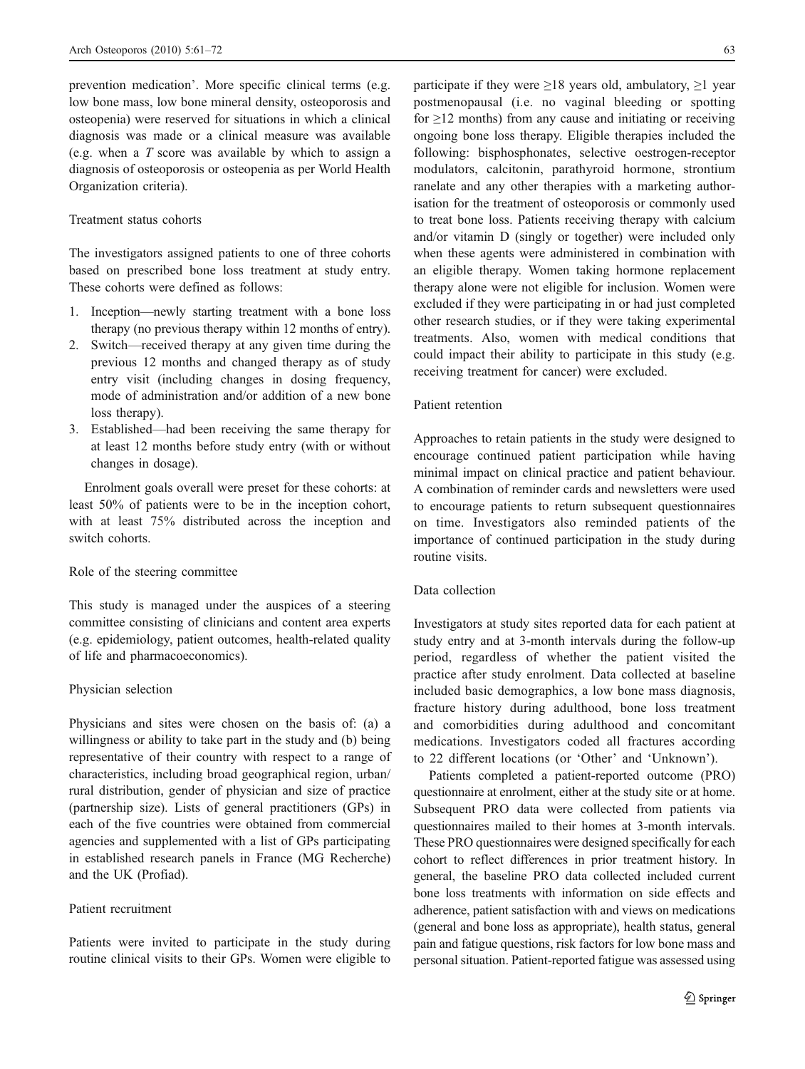prevention medication'. More specific clinical terms (e.g. low bone mass, low bone mineral density, osteoporosis and osteopenia) were reserved for situations in which a clinical diagnosis was made or a clinical measure was available (e.g. when a T score was available by which to assign a diagnosis of osteoporosis or osteopenia as per World Health Organization criteria).

# Treatment status cohorts

The investigators assigned patients to one of three cohorts based on prescribed bone loss treatment at study entry. These cohorts were defined as follows:

- 1. Inception—newly starting treatment with a bone loss therapy (no previous therapy within 12 months of entry).
- 2. Switch—received therapy at any given time during the previous 12 months and changed therapy as of study entry visit (including changes in dosing frequency, mode of administration and/or addition of a new bone loss therapy).
- 3. Established—had been receiving the same therapy for at least 12 months before study entry (with or without changes in dosage).

Enrolment goals overall were preset for these cohorts: at least 50% of patients were to be in the inception cohort, with at least 75% distributed across the inception and switch cohorts.

#### Role of the steering committee

This study is managed under the auspices of a steering committee consisting of clinicians and content area experts (e.g. epidemiology, patient outcomes, health-related quality of life and pharmacoeconomics).

#### Physician selection

Physicians and sites were chosen on the basis of: (a) a willingness or ability to take part in the study and (b) being representative of their country with respect to a range of characteristics, including broad geographical region, urban/ rural distribution, gender of physician and size of practice (partnership size). Lists of general practitioners (GPs) in each of the five countries were obtained from commercial agencies and supplemented with a list of GPs participating in established research panels in France (MG Recherche) and the UK (Profiad).

#### Patient recruitment

Patients were invited to participate in the study during routine clinical visits to their GPs. Women were eligible to participate if they were  $>18$  years old, ambulatory,  $>1$  year postmenopausal (i.e. no vaginal bleeding or spotting for  $\geq$ 12 months) from any cause and initiating or receiving ongoing bone loss therapy. Eligible therapies included the following: bisphosphonates, selective oestrogen-receptor modulators, calcitonin, parathyroid hormone, strontium ranelate and any other therapies with a marketing authorisation for the treatment of osteoporosis or commonly used to treat bone loss. Patients receiving therapy with calcium and/or vitamin D (singly or together) were included only when these agents were administered in combination with an eligible therapy. Women taking hormone replacement therapy alone were not eligible for inclusion. Women were excluded if they were participating in or had just completed other research studies, or if they were taking experimental treatments. Also, women with medical conditions that could impact their ability to participate in this study (e.g. receiving treatment for cancer) were excluded.

# Patient retention

Approaches to retain patients in the study were designed to encourage continued patient participation while having minimal impact on clinical practice and patient behaviour. A combination of reminder cards and newsletters were used to encourage patients to return subsequent questionnaires on time. Investigators also reminded patients of the importance of continued participation in the study during routine visits.

# Data collection

Investigators at study sites reported data for each patient at study entry and at 3-month intervals during the follow-up period, regardless of whether the patient visited the practice after study enrolment. Data collected at baseline included basic demographics, a low bone mass diagnosis, fracture history during adulthood, bone loss treatment and comorbidities during adulthood and concomitant medications. Investigators coded all fractures according to 22 different locations (or 'Other' and 'Unknown').

Patients completed a patient-reported outcome (PRO) questionnaire at enrolment, either at the study site or at home. Subsequent PRO data were collected from patients via questionnaires mailed to their homes at 3-month intervals. These PRO questionnaires were designed specifically for each cohort to reflect differences in prior treatment history. In general, the baseline PRO data collected included current bone loss treatments with information on side effects and adherence, patient satisfaction with and views on medications (general and bone loss as appropriate), health status, general pain and fatigue questions, risk factors for low bone mass and personal situation. Patient-reported fatigue was assessed using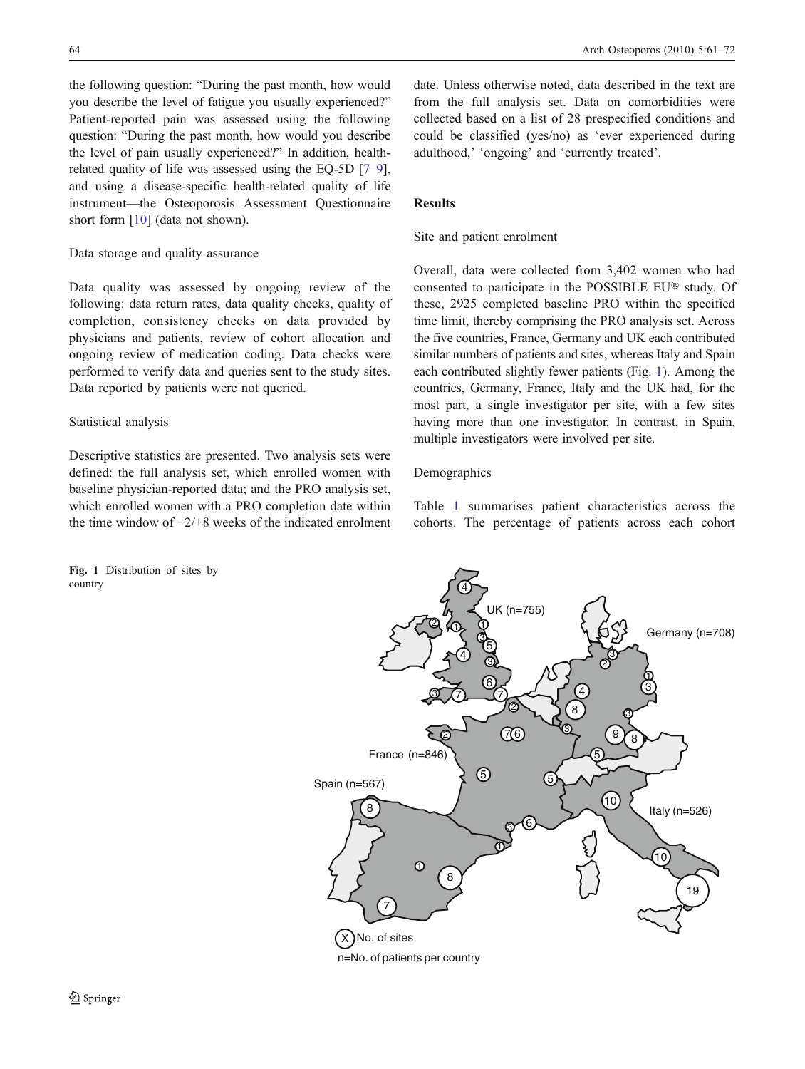the following question: "During the past month, how would you describe the level of fatigue you usually experienced?" Patient-reported pain was assessed using the following question: "During the past month, how would you describe the level of pain usually experienced?" In addition, healthrelated quality of life was assessed using the EQ-5D [[7](#page-11-0)–[9\]](#page-11-0), and using a disease-specific health-related quality of life instrument—the Osteoporosis Assessment Questionnaire short form [[10\]](#page-11-0) (data not shown).

#### Data storage and quality assurance

Data quality was assessed by ongoing review of the following: data return rates, data quality checks, quality of completion, consistency checks on data provided by physicians and patients, review of cohort allocation and ongoing review of medication coding. Data checks were performed to verify data and queries sent to the study sites. Data reported by patients were not queried.

## Statistical analysis

Descriptive statistics are presented. Two analysis sets were defined: the full analysis set, which enrolled women with baseline physician-reported data; and the PRO analysis set, which enrolled women with a PRO completion date within the time window of −2/+8 weeks of the indicated enrolment

Fig. 1 Distribution of sites by country

date. Unless otherwise noted, data described in the text are from the full analysis set. Data on comorbidities were collected based on a list of 28 prespecified conditions and could be classified (yes/no) as 'ever experienced during adulthood,' 'ongoing' and 'currently treated'.

## Results

# Site and patient enrolment

Overall, data were collected from 3,402 women who had consented to participate in the POSSIBLE EU® study. Of these, 2925 completed baseline PRO within the specified time limit, thereby comprising the PRO analysis set. Across the five countries, France, Germany and UK each contributed similar numbers of patients and sites, whereas Italy and Spain each contributed slightly fewer patients (Fig. 1). Among the countries, Germany, France, Italy and the UK had, for the most part, a single investigator per site, with a few sites having more than one investigator. In contrast, in Spain, multiple investigators were involved per site.

#### Demographics

Table [1](#page-4-0) summarises patient characteristics across the cohorts. The percentage of patients across each cohort

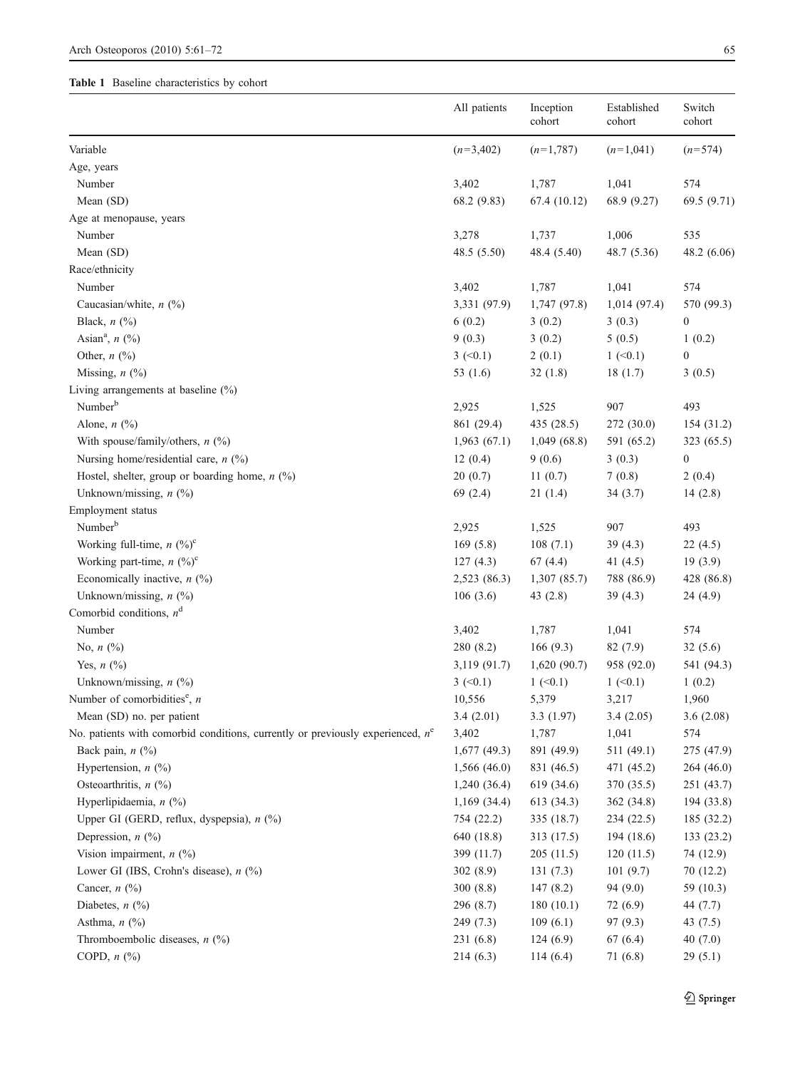# <span id="page-4-0"></span>Table 1 Baseline characteristics by cohort

|                                                                                   | All patients             | Inception<br>cohort | Established<br>cohort | Switch<br>cohort         |
|-----------------------------------------------------------------------------------|--------------------------|---------------------|-----------------------|--------------------------|
| Variable                                                                          | $(n=3,402)$              | $(n=1,787)$         | $(n=1,041)$           | $(n=574)$                |
| Age, years                                                                        |                          |                     |                       |                          |
| Number                                                                            | 3,402                    | 1,787               | 1,041                 | 574                      |
| Mean (SD)                                                                         | 68.2 (9.83)              | 67.4 (10.12)        | 68.9 (9.27)           | 69.5 (9.71)              |
| Age at menopause, years                                                           |                          |                     |                       |                          |
| Number                                                                            | 3,278                    | 1,737               | 1,006                 | 535                      |
| Mean (SD)                                                                         | 48.5 (5.50)              | 48.4 (5.40)         | 48.7 (5.36)           | 48.2 (6.06)              |
| Race/ethnicity                                                                    |                          |                     |                       |                          |
| Number                                                                            | 3,402                    | 1,787               | 1,041                 | 574                      |
| Caucasian/white, $n$ (%)                                                          | 3,331 (97.9)             | 1,747 (97.8)        | 1,014(97.4)           | 570 (99.3)               |
| Black, $n$ (%)                                                                    | 6(0.2)                   | 3(0.2)              | 3(0.3)                | $\boldsymbol{0}$         |
| Asian <sup>a</sup> , $n$ (%)                                                      | 9(0.3)                   | 3(0.2)              | 5(0.5)                | 1(0.2)                   |
| Other, $n$ (%)                                                                    | $3 (-0.1)$               | 2(0.1)              | $1 \le 0.1$           | $\boldsymbol{0}$         |
| Missing, $n$ (%)                                                                  | 53 $(1.6)$               | 32(1.8)             | 18(1.7)               | 3(0.5)                   |
| Living arrangements at baseline $(\%)$                                            |                          |                     |                       |                          |
| Number <sup>b</sup>                                                               | 2,925                    | 1,525               | 907                   | 493                      |
| Alone, $n$ $\left(\frac{9}{0}\right)$                                             | 861 (29.4)               | 435 (28.5)          | 272 (30.0)            | 154(31.2)                |
| With spouse/family/others, $n$ (%)                                                | 1,963(67.1)              | 1,049(68.8)         | 591 (65.2)            | 323 (65.5)               |
| Nursing home/residential care, $n$ (%)                                            | 12(0.4)                  | 9(0.6)              | 3(0.3)                | $\boldsymbol{0}$         |
| Hostel, shelter, group or boarding home, $n$ (%)                                  | 20(0.7)                  | 11(0.7)             | 7(0.8)                | 2(0.4)                   |
| Unknown/missing, $n$ (%)                                                          | 69(2.4)                  | 21(1.4)             | 34(3.7)               | 14(2.8)                  |
| Employment status                                                                 |                          |                     |                       |                          |
| Number <sup>b</sup>                                                               | 2,925                    | 1,525               | 907                   | 493                      |
| Working full-time, $n$ (%) <sup>c</sup>                                           | 169(5.8)                 | 108(7.1)            | 39(4.3)               | 22(4.5)                  |
| Working part-time, $n$ (%) <sup>c</sup>                                           | 127(4.3)                 | 67(4.4)             | 41 $(4.5)$            | 19(3.9)                  |
| Economically inactive, $n$ (%)                                                    | 2,523 (86.3)             | 1,307(85.7)         | 788 (86.9)            | 428 (86.8)               |
| Unknown/missing, $n$ (%)                                                          | 106(3.6)                 | 43 $(2.8)$          | 39(4.3)               | 24 (4.9)                 |
| Comorbid conditions, $n^d$                                                        |                          |                     |                       |                          |
| Number                                                                            | 3,402                    | 1,787               | 1,041                 | 574                      |
| No, $n$ (%)                                                                       | 280 (8.2)                | 166(9.3)            | 82(7.9)               | 32(5.6)                  |
| Yes, $n$ $(\%)$                                                                   | 3,119 (91.7)             | 1,620(90.7)         | 958 (92.0)            | 541 (94.3)               |
| Unknown/missing, $n$ (%)                                                          | $3 \ (-0.1)$             | $1$ (<0.1)          | $1 (-0.1)$            | 1(0.2)                   |
| Number of comorbidities <sup>e</sup> , $n$                                        | 10,556                   | 5,379               | 3,217                 | 1,960                    |
| Mean (SD) no. per patient                                                         | 3.4(2.01)                | 3.3(1.97)           | 3.4(2.05)             | 3.6(2.08)                |
| No. patients with comorbid conditions, currently or previously experienced, $n^e$ | 3,402                    | 1,787               | 1,041                 | 574                      |
| Back pain, $n$ (%)                                                                | $1,677$ (49.3)           | 891 (49.9)          | 511 (49.1)            | 275 (47.9)               |
| Hypertension, $n$ (%)                                                             | 1,566(46.0)              | 831 (46.5)          | 471 (45.2)            | 264 (46.0)               |
| Osteoarthritis, $n$ (%)                                                           | 1,240(36.4)              | 619 (34.6)          | 370 (35.5)            | 251 (43.7)               |
| Hyperlipidaemia, n (%)                                                            | 1,169(34.4)              | 613 (34.3)          | 362 (34.8)            |                          |
| Upper GI (GERD, reflux, dyspepsia), $n$ (%)                                       | 754 (22.2)               | 335 (18.7)          | 234(22.5)             | 194 (33.8)<br>185 (32.2) |
| Depression, $n$ (%)                                                               |                          |                     |                       |                          |
| Vision impairment, $n$ (%)                                                        | 640 (18.8)<br>399 (11.7) | 313 (17.5)          | 194 (18.6)            | 133 (23.2)               |
|                                                                                   |                          | 205(11.5)           | 120(11.5)             | 74 (12.9)                |
| Lower GI (IBS, Crohn's disease), $n$ (%)                                          | 302(8.9)                 | 131(7.3)            | 101(9.7)              | 70 (12.2)                |
| Cancer, $n$ (%)                                                                   | 300(8.8)                 | 147(8.2)            | 94(9.0)               | 59 (10.3)                |
| Diabetes, $n$ (%)                                                                 | 296 (8.7)                | 180(10.1)           | 72(6.9)               | 44 (7.7)                 |
| Asthma, $n$ (%)                                                                   | 249(7.3)                 | 109(6.1)            | 97(9.3)               | 43 (7.5)                 |
| Thromboembolic diseases, $n$ (%)                                                  | 231 (6.8)                | 124(6.9)            | 67(6.4)               | 40(7.0)                  |
| COPD, $n$ $(\%)$                                                                  | 214 (6.3)                | 114(6.4)            | 71(6.8)               | 29(5.1)                  |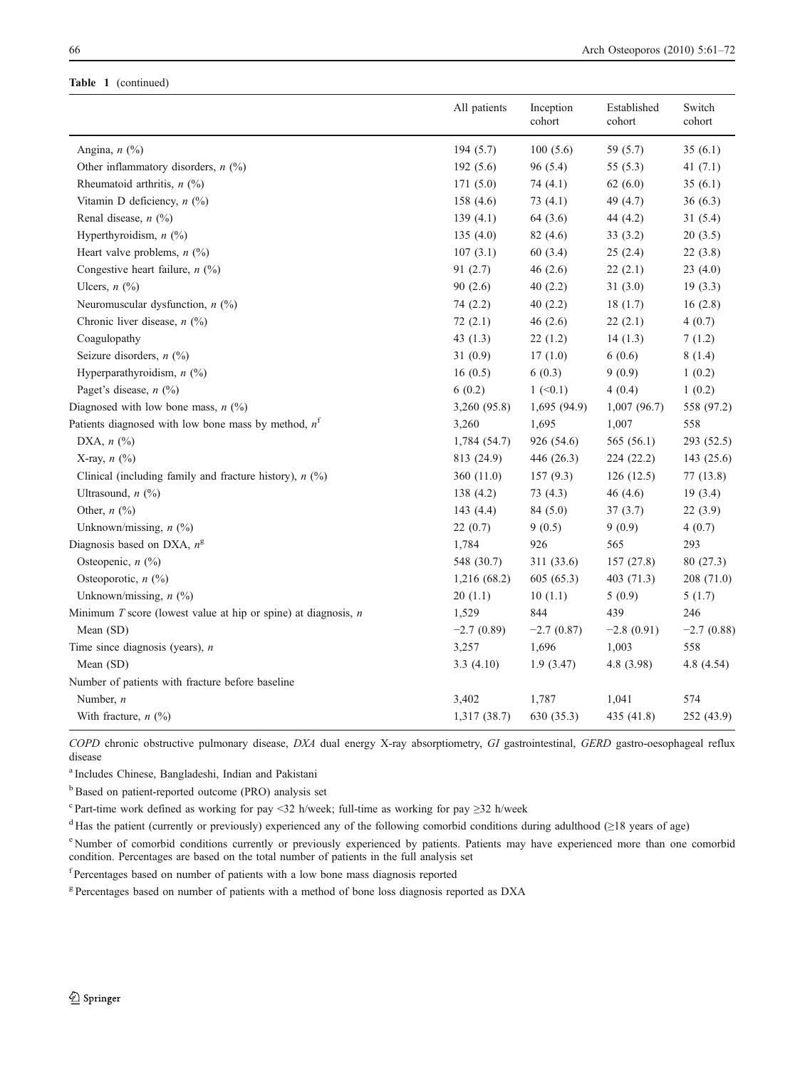#### Table 1 (continued)

|                                                                    | All patients | Inception<br>cohort | Established<br>cohort | Switch<br>cohort |
|--------------------------------------------------------------------|--------------|---------------------|-----------------------|------------------|
| Angina, $n$ (%)                                                    | 194(5.7)     | 100(5.6)            | 59 (5.7)              | 35(6.1)          |
| Other inflammatory disorders, $n$ (%)                              | 192(5.6)     | 96 (5.4)            | 55(5.3)               | 41 $(7.1)$       |
| Rheumatoid arthritis, $n$ (%)                                      | 171(5.0)     | 74 $(4.1)$          | 62(6.0)               | 35(6.1)          |
| Vitamin D deficiency, $n$ (%)                                      | 158(4.6)     | 73(4.1)             | 49 (4.7)              | 36(6.3)          |
| Renal disease, $n$ (%)                                             | 139(4.1)     | 64 (3.6)            | 44 (4.2)              | 31(5.4)          |
| Hyperthyroidism, $n$ (%)                                           | 135(4.0)     | 82(4.6)             | 33(3.2)               | 20(3.5)          |
| Heart valve problems, $n$ (%)                                      | 107(3.1)     | 60 (3.4)            | 25(2.4)               | 22(3.8)          |
| Congestive heart failure, $n$ (%)                                  | 91(2.7)      | 46(2.6)             | 22(2.1)               | 23(4.0)          |
| Ulcers, $n$ (%)                                                    | 90(2.6)      | 40(2.2)             | 31(3.0)               | 19(3.3)          |
| Neuromuscular dysfunction, $n$ (%)                                 | 74 (2.2)     | 40(2.2)             | 18(1.7)               | 16(2.8)          |
| Chronic liver disease, $n$ (%)                                     | 72(2.1)      | 46(2.6)             | 22(2.1)               | 4(0.7)           |
| Coagulopathy                                                       | 43 $(1.3)$   | 22(1.2)             | 14(1.3)               | 7(1.2)           |
| Seizure disorders, $n$ (%)                                         | 31(0.9)      | 17(1.0)             | 6(0.6)                | 8(1.4)           |
| Hyperparathyroidism, $n$ (%)                                       | 16(0.5)      | 6(0.3)              | 9(0.9)                | 1(0.2)           |
| Paget's disease, $n$ (%)                                           | 6(0.2)       | $1 (-0.1)$          | 4(0.4)                | 1(0.2)           |
| Diagnosed with low bone mass, $n$ (%)                              | 3,260 (95.8) | 1,695(94.9)         | 1,007(96.7)           | 558 (97.2)       |
| Patients diagnosed with low bone mass by method, $nf$              | 3,260        | 1,695               | 1,007                 | 558              |
| DXA, $n$ $(\%)$                                                    | 1,784 (54.7) | 926 (54.6)          | 565 (56.1)            | 293 (52.5)       |
| X-ray, $n$ $\left(\frac{0}{0}\right)$                              | 813 (24.9)   | 446 (26.3)          | 224 (22.2)            | 143 (25.6)       |
| Clinical (including family and fracture history), $n$ (%)          | 360 (11.0)   | 157(9.3)            | 126(12.5)             | 77(13.8)         |
| Ultrasound, $n$ (%)                                                | 138(4.2)     | 73(4.3)             | 46 $(4.6)$            | 19(3.4)          |
| Other, $n$ (%)                                                     | 143 (4.4)    | 84(5.0)             | 37(3.7)               | 22(3.9)          |
| Unknown/missing, $n$ (%)                                           | 22(0.7)      | 9(0.5)              | 9(0.9)                | 4(0.7)           |
| Diagnosis based on DXA, $n^g$                                      | 1,784        | 926                 | 565                   | 293              |
| Osteopenic, $n$ (%)                                                | 548 (30.7)   | 311 (33.6)          | 157(27.8)             | 80(27.3)         |
| Osteoporotic, $n$ (%)                                              | 1,216 (68.2) | 605 (65.3)          | 403 (71.3)            | 208 (71.0)       |
| Unknown/missing, $n$ (%)                                           | 20(1.1)      | 10(1.1)             | 5(0.9)                | 5(1.7)           |
| Minimum $T$ score (lowest value at hip or spine) at diagnosis, $n$ | 1,529        | 844                 | 439                   | 246              |
| Mean (SD)                                                          | $-2.7(0.89)$ | $-2.7(0.87)$        | $-2.8(0.91)$          | $-2.7(0.88)$     |
| Time since diagnosis (years), $n$                                  | 3,257        | 1,696               | 1,003                 | 558              |
| Mean (SD)                                                          | 3.3(4.10)    | 1.9(3.47)           | 4.8(3.98)             | 4.8 (4.54)       |
| Number of patients with fracture before baseline                   |              |                     |                       |                  |
| Number, $n$                                                        | 3,402        | 1,787               | 1,041                 | 574              |
| With fracture, $n$ (%)                                             | 1,317 (38.7) | 630 (35.3)          | 435 (41.8)            | 252 (43.9)       |

COPD chronic obstructive pulmonary disease, DXA dual energy X-ray absorptiometry, GI gastrointestinal, GERD gastro-oesophageal reflux disease

<sup>a</sup> Includes Chinese, Bangladeshi, Indian and Pakistani

<sup>b</sup>Based on patient-reported outcome (PRO) analysis set

 $\textdegree$  Part-time work defined as working for pay <32 h/week; full-time as working for pay ≥32 h/week

<sup>d</sup> Has the patient (currently or previously) experienced any of the following comorbid conditions during adulthood (≥18 years of age)

<sup>e</sup> Number of comorbid conditions currently or previously experienced by patients. Patients may have experienced more than one comorbid condition. Percentages are based on the total number of patients in the full analysis set

f Percentages based on number of patients with a low bone mass diagnosis reported

<sup>g</sup> Percentages based on number of patients with a method of bone loss diagnosis reported as DXA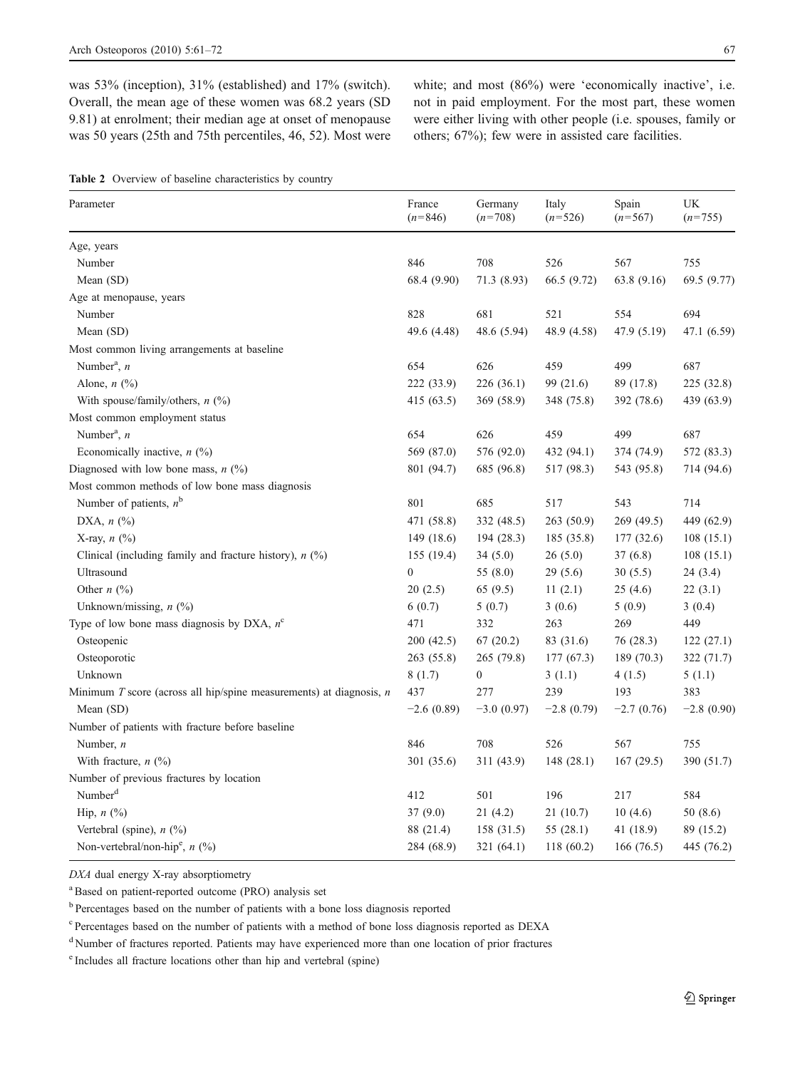<span id="page-6-0"></span>was 53% (inception), 31% (established) and 17% (switch). Overall, the mean age of these women was 68.2 years (SD 9.81) at enrolment; their median age at onset of menopause was 50 years (25th and 75th percentiles, 46, 52). Most were white; and most (86%) were 'economically inactive', i.e. not in paid employment. For the most part, these women were either living with other people (i.e. spouses, family or others; 67%); few were in assisted care facilities.

Table 2 Overview of baseline characteristics by country

| Parameter                                                             | France<br>$(n=846)$ | Germany<br>$(n=708)$ | Italy<br>$(n=526)$ | Spain<br>$(n=567)$ | UK<br>$(n=755)$ |
|-----------------------------------------------------------------------|---------------------|----------------------|--------------------|--------------------|-----------------|
| Age, years                                                            |                     |                      |                    |                    |                 |
| Number                                                                | 846                 | 708                  | 526                | 567                | 755             |
| Mean (SD)                                                             | 68.4 (9.90)         | 71.3 (8.93)          | 66.5 (9.72)        | 63.8 (9.16)        | 69.5 (9.77)     |
| Age at menopause, years                                               |                     |                      |                    |                    |                 |
| Number                                                                | 828                 | 681                  | 521                | 554                | 694             |
| Mean (SD)                                                             | 49.6 (4.48)         | 48.6 (5.94)          | 48.9 (4.58)        | 47.9 (5.19)        | 47.1 (6.59)     |
| Most common living arrangements at baseline                           |                     |                      |                    |                    |                 |
| Number <sup>a</sup> , $n$                                             | 654                 | 626                  | 459                | 499                | 687             |
| Alone, $n$ $\left(\frac{9}{0}\right)$                                 | 222 (33.9)          | 226 (36.1)           | 99 (21.6)          | 89 (17.8)          | 225(32.8)       |
| With spouse/family/others, $n$ (%)                                    | 415 (63.5)          | 369 (58.9)           | 348 (75.8)         | 392 (78.6)         | 439 (63.9)      |
| Most common employment status                                         |                     |                      |                    |                    |                 |
| Number <sup>a</sup> , $n$                                             | 654                 | 626                  | 459                | 499                | 687             |
| Economically inactive, $n$ (%)                                        | 569 (87.0)          | 576 (92.0)           | 432 (94.1)         | 374 (74.9)         | 572 (83.3)      |
| Diagnosed with low bone mass, $n$ (%)                                 | 801 (94.7)          | 685 (96.8)           | 517 (98.3)         | 543 (95.8)         | 714 (94.6)      |
| Most common methods of low bone mass diagnosis                        |                     |                      |                    |                    |                 |
| Number of patients, $n^b$                                             | 801                 | 685                  | 517                | 543                | 714             |
| DXA, $n$ $(\%)$                                                       | 471 (58.8)          | 332 (48.5)           | 263(50.9)          | 269(49.5)          | 449 (62.9)      |
| X-ray, $n$ $\left(\frac{0}{0}\right)$                                 | 149(18.6)           | 194(28.3)            | 185(35.8)          | 177(32.6)          | 108(15.1)       |
| Clinical (including family and fracture history), $n$ (%)             | 155 (19.4)          | 34(5.0)              | 26(5.0)            | 37(6.8)            | 108(15.1)       |
| Ultrasound                                                            | $\mathbf{0}$        | 55 (8.0)             | 29(5.6)            | 30(5.5)            | 24(3.4)         |
| Other $n$ (%)                                                         | 20(2.5)             | 65(9.5)              | 11(2.1)            | 25(4.6)            | 22(3.1)         |
| Unknown/missing, $n$ (%)                                              | 6(0.7)              | 5(0.7)               | 3(0.6)             | 5(0.9)             | 3(0.4)          |
| Type of low bone mass diagnosis by DXA, $n^c$                         | 471                 | 332                  | 263                | 269                | 449             |
| Osteopenic                                                            | 200(42.5)           | 67(20.2)             | 83 (31.6)          | 76 (28.3)          | 122(27.1)       |
| Osteoporotic                                                          | 263(55.8)           | 265 (79.8)           | 177 (67.3)         | 189 (70.3)         | 322 (71.7)      |
| Unknown                                                               | 8(1.7)              | $\boldsymbol{0}$     | 3(1.1)             | 4(1.5)             | 5(1.1)          |
| Minimum T score (across all hip/spine measurements) at diagnosis, $n$ | 437                 | 277                  | 239                | 193                | 383             |
| Mean (SD)                                                             | $-2.6(0.89)$        | $-3.0(0.97)$         | $-2.8(0.79)$       | $-2.7(0.76)$       | $-2.8(0.90)$    |
| Number of patients with fracture before baseline                      |                     |                      |                    |                    |                 |
| Number, $n$                                                           | 846                 | 708                  | 526                | 567                | 755             |
| With fracture, $n$ (%)                                                | 301 (35.6)          | 311 (43.9)           | 148(28.1)          | 167(29.5)          | 390 (51.7)      |
| Number of previous fractures by location                              |                     |                      |                    |                    |                 |
| Number <sup>d</sup>                                                   | 412                 | 501                  | 196                | 217                | 584             |
| Hip, $n$ $(\%)$                                                       | 37(9.0)             | 21(4.2)              | 21(10.7)           | 10(4.6)            | 50(8.6)         |
| Vertebral (spine), $n$ (%)                                            | 88 (21.4)           | 158(31.5)            | 55 $(28.1)$        | 41 (18.9)          | 89 (15.2)       |
| Non-vertebral/non-hip <sup>e</sup> , $n$ (%)                          | 284 (68.9)          | 321(64.1)            | 118 (60.2)         | 166(76.5)          | 445 (76.2)      |

DXA dual energy X-ray absorptiometry

<sup>a</sup> Based on patient-reported outcome (PRO) analysis set

<sup>b</sup> Percentages based on the number of patients with a bone loss diagnosis reported

<sup>c</sup> Percentages based on the number of patients with a method of bone loss diagnosis reported as DEXA

<sup>d</sup> Number of fractures reported. Patients may have experienced more than one location of prior fractures

e Includes all fracture locations other than hip and vertebral (spine)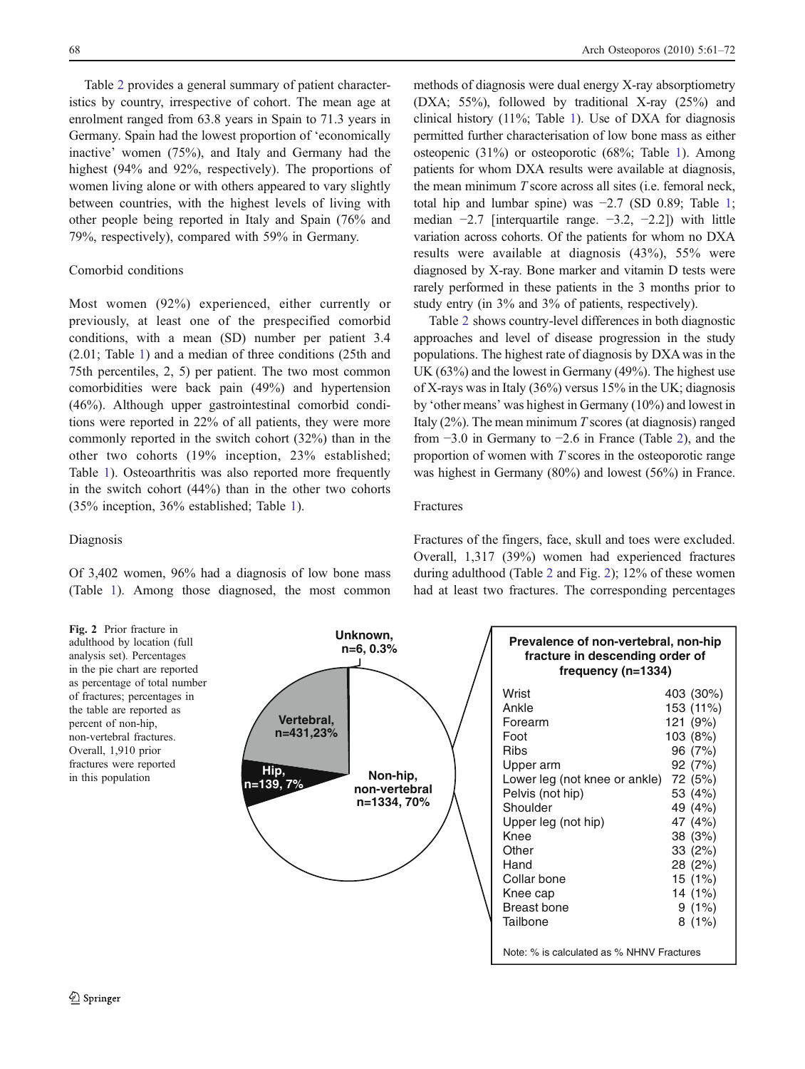<span id="page-7-0"></span>Table [2](#page-6-0) provides a general summary of patient characteristics by country, irrespective of cohort. The mean age at enrolment ranged from 63.8 years in Spain to 71.3 years in Germany. Spain had the lowest proportion of 'economically inactive' women (75%), and Italy and Germany had the highest (94% and 92%, respectively). The proportions of women living alone or with others appeared to vary slightly between countries, with the highest levels of living with other people being reported in Italy and Spain (76% and 79%, respectively), compared with 59% in Germany.

## Comorbid conditions

Most women (92%) experienced, either currently or previously, at least one of the prespecified comorbid conditions, with a mean (SD) number per patient 3.4 (2.01; Table [1\)](#page-4-0) and a median of three conditions (25th and 75th percentiles, 2, 5) per patient. The two most common comorbidities were back pain (49%) and hypertension (46%). Although upper gastrointestinal comorbid conditions were reported in 22% of all patients, they were more commonly reported in the switch cohort (32%) than in the other two cohorts (19% inception, 23% established; Table [1\)](#page-4-0). Osteoarthritis was also reported more frequently in the switch cohort (44%) than in the other two cohorts (35% inception, 36% established; Table [1\)](#page-4-0).

Diagnosis

Of 3,402 women, 96% had a diagnosis of low bone mass (Table [1\)](#page-4-0). Among those diagnosed, the most common methods of diagnosis were dual energy X-ray absorptiometry (DXA; 55%), followed by traditional X-ray (25%) and clinical history (11%; Table [1\)](#page-4-0). Use of DXA for diagnosis permitted further characterisation of low bone mass as either osteopenic (31%) or osteoporotic (68%; Table [1\)](#page-4-0). Among patients for whom DXA results were available at diagnosis, the mean minimum  $T$  score across all sites (i.e. femoral neck, total hip and lumbar spine) was −2.7 (SD 0.89; Table [1;](#page-4-0) median −2.7 [interquartile range. −3.2, −2.2]) with little variation across cohorts. Of the patients for whom no DXA results were available at diagnosis (43%), 55% were diagnosed by X-ray. Bone marker and vitamin D tests were rarely performed in these patients in the 3 months prior to study entry (in 3% and 3% of patients, respectively).

Table [2](#page-6-0) shows country-level differences in both diagnostic approaches and level of disease progression in the study populations. The highest rate of diagnosis by DXA was in the UK (63%) and the lowest in Germany (49%). The highest use of X-rays was in Italy (36%) versus 15% in the UK; diagnosis by 'other means' was highest in Germany (10%) and lowest in Italy  $(2\%)$ . The mean minimum T scores (at diagnosis) ranged from −3.0 in Germany to −2.6 in France (Table [2\)](#page-6-0), and the proportion of women with T scores in the osteoporotic range was highest in Germany (80%) and lowest (56%) in France.

## Fractures

Fractures of the fingers, face, skull and toes were excluded. Overall, 1,317 (39%) women had experienced fractures during adulthood (Table [2](#page-6-0) and Fig. 2); 12% of these women had at least two fractures. The corresponding percentages

Fig. 2 Prior fracture in adulthood by location (full analysis set). Percentages in the pie chart are reported as percentage of total number of fractures; percentages in the table are reported as percent of non-hip, non-vertebral fractures. Overall, 1,910 prior fractures were reported in this population



| Prevalence of non-vertebral, non-hip<br>fracture in descending order of<br>frequency $(n=1334)$ |  |                        |  |
|-------------------------------------------------------------------------------------------------|--|------------------------|--|
| Wrist<br>Ankle                                                                                  |  | 403 (30%)<br>153 (11%) |  |
| Forearm                                                                                         |  | 121 (9%)               |  |
| Foot                                                                                            |  | 103 (8%)               |  |
| Ribs                                                                                            |  | 96 (7%)<br>92(7%)      |  |
| Upper arm<br>Lower leg (not knee or ankle)                                                      |  | 72 (5%)                |  |
| Pelvis (not hip)                                                                                |  | 53 (4%)                |  |
| Shoulder                                                                                        |  | 49 (4%)                |  |
| Upper leg (not hip)                                                                             |  | 47 (4%)                |  |
| Knee<br>Other                                                                                   |  | 38 (3%)<br>33 (2%)     |  |
| Hand                                                                                            |  | 28 (2%)                |  |
| Collar bone                                                                                     |  | 15 (1%)                |  |
| Knee cap                                                                                        |  | 14 (1%)                |  |
| Breast bone<br>Tailbone                                                                         |  | 9(1%)                  |  |
|                                                                                                 |  | 8(1%)                  |  |
| Note: % is calculated as % NHNV Fractures                                                       |  |                        |  |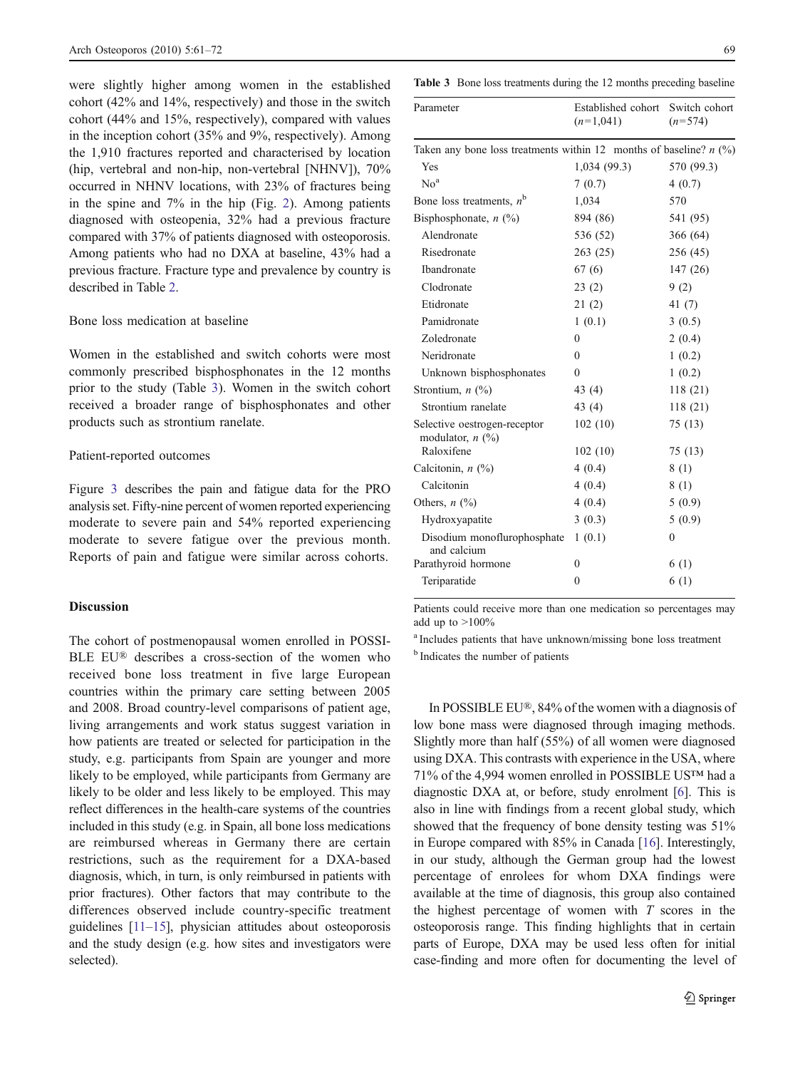were slightly higher among women in the established cohort (42% and 14%, respectively) and those in the switch cohort (44% and 15%, respectively), compared with values in the inception cohort (35% and 9%, respectively). Among the 1,910 fractures reported and characterised by location (hip, vertebral and non-hip, non-vertebral [NHNV]), 70% occurred in NHNV locations, with 23% of fractures being in the spine and 7% in the hip (Fig. [2](#page-7-0)). Among patients diagnosed with osteopenia, 32% had a previous fracture compared with 37% of patients diagnosed with osteoporosis. Among patients who had no DXA at baseline, 43% had a previous fracture. Fracture type and prevalence by country is described in Table [2.](#page-6-0)

## Bone loss medication at baseline

Women in the established and switch cohorts were most commonly prescribed bisphosphonates in the 12 months prior to the study (Table 3). Women in the switch cohort received a broader range of bisphosphonates and other products such as strontium ranelate.

# Patient-reported outcomes

Figure [3](#page-9-0) describes the pain and fatigue data for the PRO analysis set. Fifty-nine percent of women reported experiencing moderate to severe pain and 54% reported experiencing moderate to severe fatigue over the previous month. Reports of pain and fatigue were similar across cohorts.

# Discussion

The cohort of postmenopausal women enrolled in POSSI-BLE EU® describes a cross-section of the women who received bone loss treatment in five large European countries within the primary care setting between 2005 and 2008. Broad country-level comparisons of patient age, living arrangements and work status suggest variation in how patients are treated or selected for participation in the study, e.g. participants from Spain are younger and more likely to be employed, while participants from Germany are likely to be older and less likely to be employed. This may reflect differences in the health-care systems of the countries included in this study (e.g. in Spain, all bone loss medications are reimbursed whereas in Germany there are certain restrictions, such as the requirement for a DXA-based diagnosis, which, in turn, is only reimbursed in patients with prior fractures). Other factors that may contribute to the differences observed include country-specific treatment guidelines [[11](#page-11-0)–[15\]](#page-11-0), physician attitudes about osteoporosis and the study design (e.g. how sites and investigators were selected).

Table 3 Bone loss treatments during the 12 months preceding baseline

| Parameter                                                            | Established cohort<br>$(n=1,041)$ | Switch cohort<br>$(n=574)$ |  |
|----------------------------------------------------------------------|-----------------------------------|----------------------------|--|
| Taken any bone loss treatments within 12 months of baseline? $n$ (%) |                                   |                            |  |
| Yes                                                                  | 1,034(99.3)                       | 570 (99.3)                 |  |
| No <sup>a</sup>                                                      | 7(0.7)                            | 4(0.7)                     |  |
| Bone loss treatments, $n^b$                                          | 1,034                             | 570                        |  |
| Bisphosphonate, $n$ (%)                                              | 894 (86)                          | 541 (95)                   |  |
| Alendronate                                                          | 536 (52)                          | 366 (64)                   |  |
| Risedronate                                                          | 263(25)                           | 256 (45)                   |  |
| Ibandronate                                                          | 67 (6)                            | 147(26)                    |  |
| Clodronate                                                           | 23(2)                             | 9(2)                       |  |
| Etidronate                                                           | 21(2)                             | 41 $(7)$                   |  |
| Pamidronate                                                          | 1(0.1)                            | 3(0.5)                     |  |
| Zoledronate                                                          | $\theta$                          | 2(0.4)                     |  |
| Neridronate                                                          | $\theta$                          | 1(0.2)                     |  |
| Unknown bisphosphonates                                              | 0                                 | 1(0.2)                     |  |
| Strontium, $n$ $(\%)$                                                | 43 (4)                            | 118(21)                    |  |
| Strontium ranelate                                                   | 43 (4)                            | 118(21)                    |  |
| Selective oestrogen-receptor<br>modulator, $n$ (%)                   | 102(10)                           | 75 (13)                    |  |
| Raloxifene                                                           | 102(10)                           | 75 (13)                    |  |
| Calcitonin, n (%)                                                    | 4(0.4)                            | 8(1)                       |  |
| Calcitonin                                                           | 4(0.4)                            | 8(1)                       |  |
| Others, $n$ $\left(\frac{0}{0}\right)$                               | 4(0.4)                            | 5(0.9)                     |  |
| Hydroxyapatite                                                       | 3(0.3)                            | 5(0.9)                     |  |
| Disodium monoflurophosphate<br>and calcium                           | 1(0.1)                            | $\mathbf{0}$               |  |
| Parathyroid hormone                                                  | $\theta$                          | 6(1)                       |  |
| Teriparatide                                                         | $\mathbf{0}$                      | 6(1)                       |  |
|                                                                      |                                   |                            |  |

Patients could receive more than one medication so percentages may add up to  $>100\%$ 

<sup>a</sup> Includes patients that have unknown/missing bone loss treatment

<sup>b</sup> Indicates the number of patients

In POSSIBLE EU®, 84% of the women with a diagnosis of low bone mass were diagnosed through imaging methods. Slightly more than half (55%) of all women were diagnosed using DXA. This contrasts with experience in the USA, where 71% of the 4,994 women enrolled in POSSIBLE US™ had a diagnostic DXA at, or before, study enrolment [\[6](#page-11-0)]. This is also in line with findings from a recent global study, which showed that the frequency of bone density testing was 51% in Europe compared with 85% in Canada [\[16](#page-11-0)]. Interestingly, in our study, although the German group had the lowest percentage of enrolees for whom DXA findings were available at the time of diagnosis, this group also contained the highest percentage of women with  $T$  scores in the osteoporosis range. This finding highlights that in certain parts of Europe, DXA may be used less often for initial case-finding and more often for documenting the level of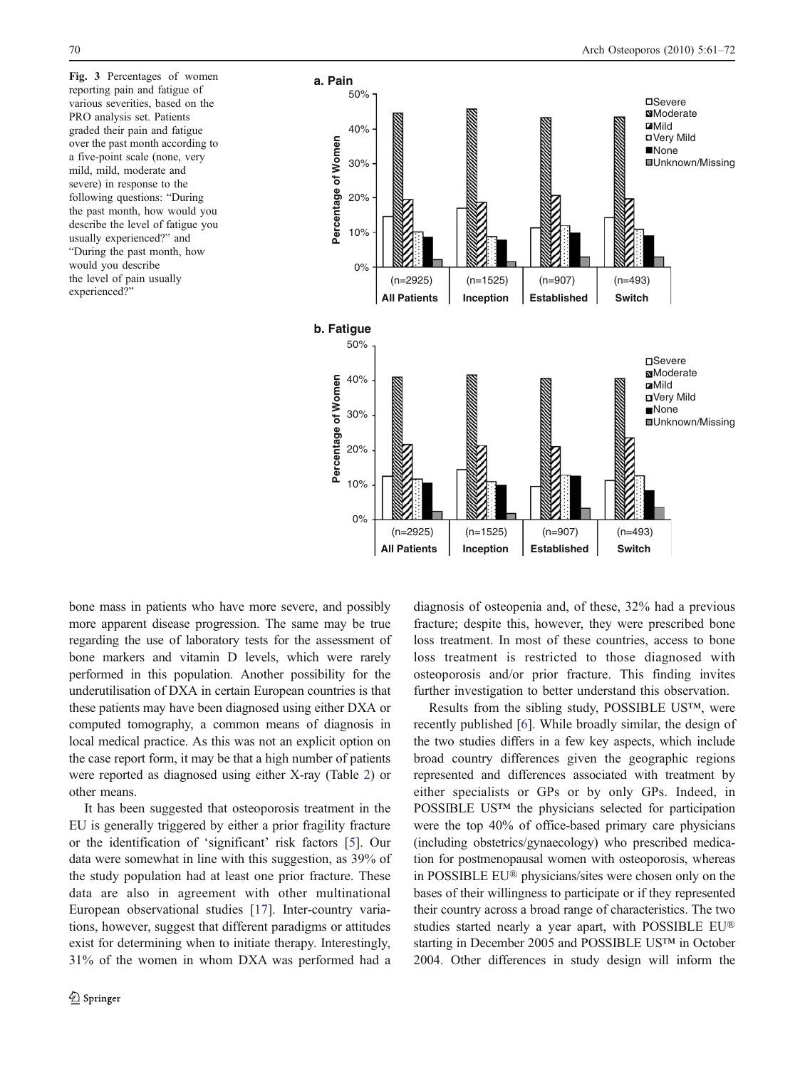<span id="page-9-0"></span>Fig. 3 Percentages of women reporting pain and fatigue of various severities, based on the PRO analysis set. Patients graded their pain and fatigue over the past month according to a five-point scale (none, very mild, mild, moderate and severe) in response to the following questions: "During the past month, how would you describe the level of fatigue you usually experienced?" and "During the past month, how would you describe the level of pain usually experienced?"



bone mass in patients who have more severe, and possibly more apparent disease progression. The same may be true regarding the use of laboratory tests for the assessment of bone markers and vitamin D levels, which were rarely performed in this population. Another possibility for the underutilisation of DXA in certain European countries is that these patients may have been diagnosed using either DXA or computed tomography, a common means of diagnosis in local medical practice. As this was not an explicit option on the case report form, it may be that a high number of patients were reported as diagnosed using either X-ray (Table [2](#page-6-0)) or other means.

It has been suggested that osteoporosis treatment in the EU is generally triggered by either a prior fragility fracture or the identification of 'significant' risk factors [\[5](#page-10-0)]. Our data were somewhat in line with this suggestion, as 39% of the study population had at least one prior fracture. These data are also in agreement with other multinational European observational studies [\[17](#page-11-0)]. Inter-country variations, however, suggest that different paradigms or attitudes exist for determining when to initiate therapy. Interestingly, 31% of the women in whom DXA was performed had a

diagnosis of osteopenia and, of these, 32% had a previous fracture; despite this, however, they were prescribed bone loss treatment. In most of these countries, access to bone loss treatment is restricted to those diagnosed with osteoporosis and/or prior fracture. This finding invites further investigation to better understand this observation.

Results from the sibling study, POSSIBLE US™, were recently published [[6\]](#page-11-0). While broadly similar, the design of the two studies differs in a few key aspects, which include broad country differences given the geographic regions represented and differences associated with treatment by either specialists or GPs or by only GPs. Indeed, in POSSIBLE US™ the physicians selected for participation were the top 40% of office-based primary care physicians (including obstetrics/gynaecology) who prescribed medication for postmenopausal women with osteoporosis, whereas in POSSIBLE EU® physicians/sites were chosen only on the bases of their willingness to participate or if they represented their country across a broad range of characteristics. The two studies started nearly a year apart, with POSSIBLE EU® starting in December 2005 and POSSIBLE US™ in October 2004. Other differences in study design will inform the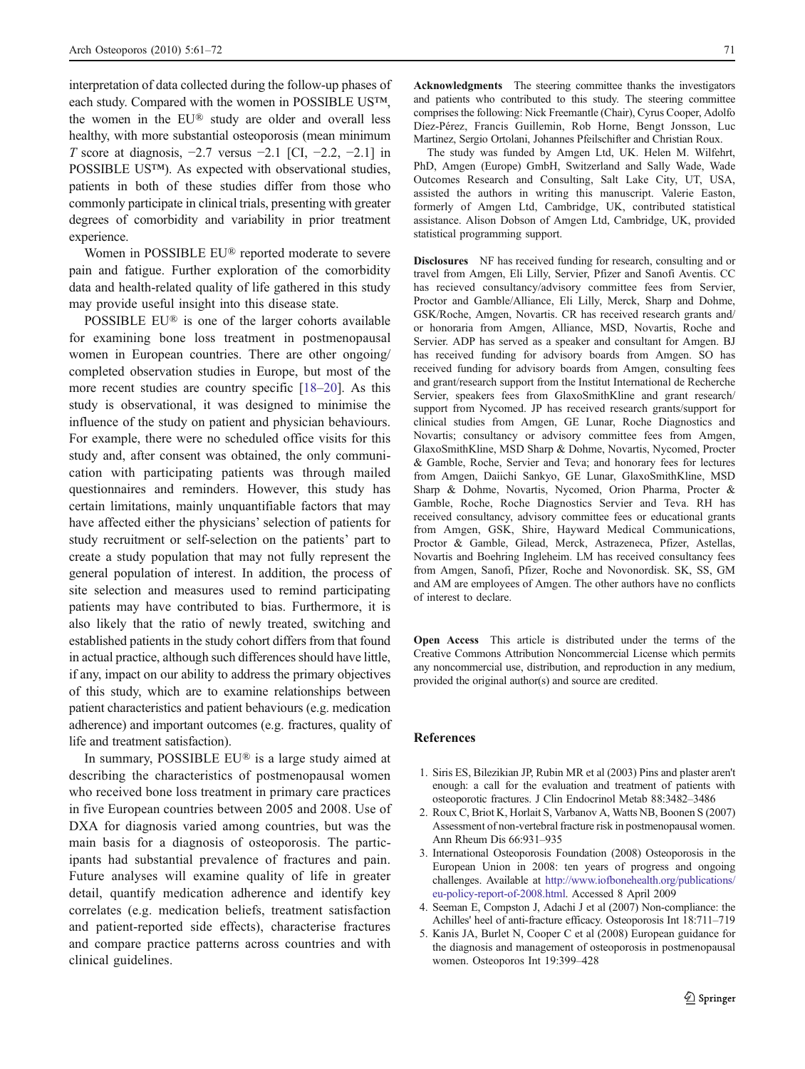<span id="page-10-0"></span>interpretation of data collected during the follow-up phases of each study. Compared with the women in POSSIBLE US™, the women in the EU® study are older and overall less healthy, with more substantial osteoporosis (mean minimum T score at diagnosis,  $-2.7$  versus  $-2.1$  [CI,  $-2.2$ ,  $-2.1$ ] in POSSIBLE US™). As expected with observational studies, patients in both of these studies differ from those who commonly participate in clinical trials, presenting with greater degrees of comorbidity and variability in prior treatment experience.

Women in POSSIBLE EU® reported moderate to severe pain and fatigue. Further exploration of the comorbidity data and health-related quality of life gathered in this study may provide useful insight into this disease state.

POSSIBLE EU® is one of the larger cohorts available for examining bone loss treatment in postmenopausal women in European countries. There are other ongoing/ completed observation studies in Europe, but most of the more recent studies are country specific [[18](#page-11-0)–[20\]](#page-11-0). As this study is observational, it was designed to minimise the influence of the study on patient and physician behaviours. For example, there were no scheduled office visits for this study and, after consent was obtained, the only communication with participating patients was through mailed questionnaires and reminders. However, this study has certain limitations, mainly unquantifiable factors that may have affected either the physicians' selection of patients for study recruitment or self-selection on the patients' part to create a study population that may not fully represent the general population of interest. In addition, the process of site selection and measures used to remind participating patients may have contributed to bias. Furthermore, it is also likely that the ratio of newly treated, switching and established patients in the study cohort differs from that found in actual practice, although such differences should have little, if any, impact on our ability to address the primary objectives of this study, which are to examine relationships between patient characteristics and patient behaviours (e.g. medication adherence) and important outcomes (e.g. fractures, quality of life and treatment satisfaction).

In summary, POSSIBLE EU® is a large study aimed at describing the characteristics of postmenopausal women who received bone loss treatment in primary care practices in five European countries between 2005 and 2008. Use of DXA for diagnosis varied among countries, but was the main basis for a diagnosis of osteoporosis. The participants had substantial prevalence of fractures and pain. Future analyses will examine quality of life in greater detail, quantify medication adherence and identify key correlates (e.g. medication beliefs, treatment satisfaction and patient-reported side effects), characterise fractures and compare practice patterns across countries and with clinical guidelines.

Acknowledgments The steering committee thanks the investigators and patients who contributed to this study. The steering committee comprises the following: Nick Freemantle (Chair), Cyrus Cooper, Adolfo Díez-Pérez, Francis Guillemin, Rob Horne, Bengt Jonsson, Luc Martinez, Sergio Ortolani, Johannes Pfeilschifter and Christian Roux.

The study was funded by Amgen Ltd, UK. Helen M. Wilfehrt, PhD, Amgen (Europe) GmbH, Switzerland and Sally Wade, Wade Outcomes Research and Consulting, Salt Lake City, UT, USA, assisted the authors in writing this manuscript. Valerie Easton, formerly of Amgen Ltd, Cambridge, UK, contributed statistical assistance. Alison Dobson of Amgen Ltd, Cambridge, UK, provided statistical programming support.

Disclosures NF has received funding for research, consulting and or travel from Amgen, Eli Lilly, Servier, Pfizer and Sanofi Aventis. CC has recieved consultancy/advisory committee fees from Servier, Proctor and Gamble/Alliance, Eli Lilly, Merck, Sharp and Dohme, GSK/Roche, Amgen, Novartis. CR has received research grants and/ or honoraria from Amgen, Alliance, MSD, Novartis, Roche and Servier. ADP has served as a speaker and consultant for Amgen. BJ has received funding for advisory boards from Amgen. SO has received funding for advisory boards from Amgen, consulting fees and grant/research support from the Institut International de Recherche Servier, speakers fees from GlaxoSmithKline and grant research/ support from Nycomed. JP has received research grants/support for clinical studies from Amgen, GE Lunar, Roche Diagnostics and Novartis; consultancy or advisory committee fees from Amgen, GlaxoSmithKline, MSD Sharp & Dohme, Novartis, Nycomed, Procter & Gamble, Roche, Servier and Teva; and honorary fees for lectures from Amgen, Daiichi Sankyo, GE Lunar, GlaxoSmithKline, MSD Sharp & Dohme, Novartis, Nycomed, Orion Pharma, Procter & Gamble, Roche, Roche Diagnostics Servier and Teva. RH has received consultancy, advisory committee fees or educational grants from Amgen, GSK, Shire, Hayward Medical Communications, Proctor & Gamble, Gilead, Merck, Astrazeneca, Pfizer, Astellas, Novartis and Boehring Ingleheim. LM has received consultancy fees from Amgen, Sanofi, Pfizer, Roche and Novonordisk. SK, SS, GM and AM are employees of Amgen. The other authors have no conflicts of interest to declare.

Open Access This article is distributed under the terms of the Creative Commons Attribution Noncommercial License which permits any noncommercial use, distribution, and reproduction in any medium, provided the original author(s) and source are credited.

#### References

- 1. Siris ES, Bilezikian JP, Rubin MR et al (2003) Pins and plaster aren't enough: a call for the evaluation and treatment of patients with osteoporotic fractures. J Clin Endocrinol Metab 88:3482–3486
- 2. Roux C, Briot K, Horlait S, Varbanov A, Watts NB, Boonen S (2007) Assessment of non-vertebral fracture risk in postmenopausal women. Ann Rheum Dis 66:931–935
- 3. International Osteoporosis Foundation (2008) Osteoporosis in the European Union in 2008: ten years of progress and ongoing challenges. Available at [http://www.iofbonehealth.org/publications/](http://www.iofbonehealth.org/publications/eu-policy-report-of-2008.html) [eu-policy-report-of-2008.html](http://www.iofbonehealth.org/publications/eu-policy-report-of-2008.html). Accessed 8 April 2009
- 4. Seeman E, Compston J, Adachi J et al (2007) Non-compliance: the Achilles' heel of anti-fracture efficacy. Osteoporosis Int 18:711–719
- 5. Kanis JA, Burlet N, Cooper C et al (2008) European guidance for the diagnosis and management of osteoporosis in postmenopausal women. Osteoporos Int 19:399–428